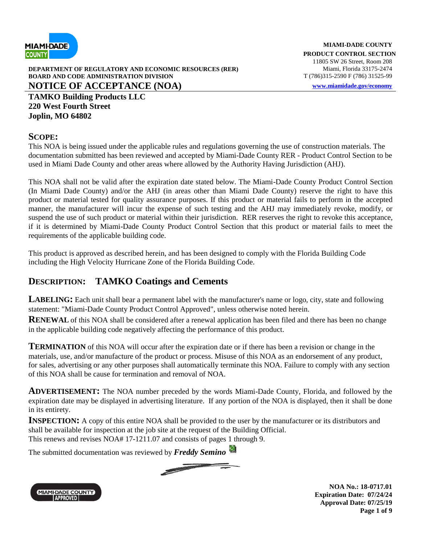

**DEPARTMENT OF REGULATORY AND ECONOMIC RESOURCES (RER)** Miami, Florida 33175-2474 **BOARD AND CODE ADMINISTRATION DIVISION** T (786)315-2590 F (786) 31525-99 **NOTICE OF ACCEPTANCE (NOA) [www.miamidade.gov/economy](http://www.miamidade.gov/economy)**

**TAMKO Building Products LLC 220 West Fourth Street Joplin, MO 64802**

#### **SCOPE:**

This NOA is being issued under the applicable rules and regulations governing the use of construction materials. The documentation submitted has been reviewed and accepted by Miami-Dade County RER - Product Control Section to be used in Miami Dade County and other areas where allowed by the Authority Having Jurisdiction (AHJ).

This NOA shall not be valid after the expiration date stated below. The Miami-Dade County Product Control Section (In Miami Dade County) and/or the AHJ (in areas other than Miami Dade County) reserve the right to have this product or material tested for quality assurance purposes. If this product or material fails to perform in the accepted manner, the manufacturer will incur the expense of such testing and the AHJ may immediately revoke, modify, or suspend the use of such product or material within their jurisdiction. RER reserves the right to revoke this acceptance, if it is determined by Miami-Dade County Product Control Section that this product or material fails to meet the requirements of the applicable building code.

This product is approved as described herein, and has been designed to comply with the Florida Building Code including the High Velocity Hurricane Zone of the Florida Building Code.

### **DESCRIPTION: TAMKO Coatings and Cements**

**LABELING:** Each unit shall bear a permanent label with the manufacturer's name or logo, city, state and following statement: "Miami-Dade County Product Control Approved", unless otherwise noted herein.

**RENEWAL** of this NOA shall be considered after a renewal application has been filed and there has been no change in the applicable building code negatively affecting the performance of this product.

**TERMINATION** of this NOA will occur after the expiration date or if there has been a revision or change in the materials, use, and/or manufacture of the product or process. Misuse of this NOA as an endorsement of any product, for sales, advertising or any other purposes shall automatically terminate this NOA. Failure to comply with any section of this NOA shall be cause for termination and removal of NOA.

**ADVERTISEMENT:** The NOA number preceded by the words Miami-Dade County, Florida, and followed by the expiration date may be displayed in advertising literature. If any portion of the NOA is displayed, then it shall be done in its entirety.

**INSPECTION:** A copy of this entire NOA shall be provided to the user by the manufacturer or its distributors and shall be available for inspection at the job site at the request of the Building Official. This renews and revises NOA# 17-1211.07 and consists of pages 1 through 9.

The submitted documentation was reviewed by *Freddy Semino*





**NOA No.: 18-0717.01 Expiration Date: 07/24/24 Approval Date: 07/25/19 Page 1 of 9**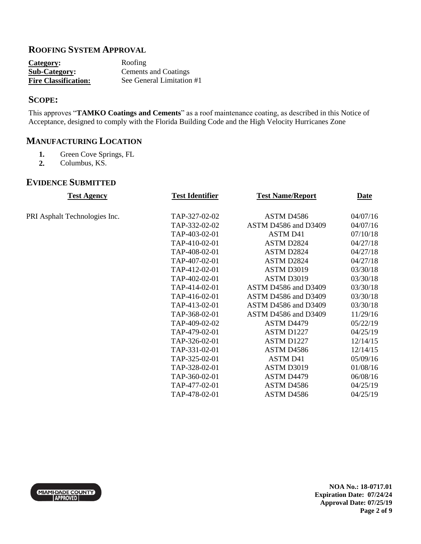### **ROOFING SYSTEM APPROVAL**

| Category:                   | Roofing                   |
|-----------------------------|---------------------------|
| <b>Sub-Category:</b>        | Cements and Coatings      |
| <b>Fire Classification:</b> | See General Limitation #1 |

### **SCOPE:**

This approves "**TAMKO Coatings and Cements**" as a roof maintenance coating, as described in this Notice of Acceptance, designed to comply with the Florida Building Code and the High Velocity Hurricanes Zone

## **MANUFACTURING LOCATION**

- 1. Green Cove Springs, FL<br>2. Columbus, KS.
- **2.** Columbus, KS.

#### **EVIDENCE SUBMITTED**

| <b>Test Agency</b>            | <b>Test Identifier</b> | <b>Test Name/Report</b> | <b>Date</b> |
|-------------------------------|------------------------|-------------------------|-------------|
| PRI Asphalt Technologies Inc. | TAP-327-02-02          | ASTM D4586              | 04/07/16    |
|                               | TAP-332-02-02          | ASTM D4586 and D3409    | 04/07/16    |
|                               | TAP-403-02-01          | <b>ASTM D41</b>         | 07/10/18    |
|                               | TAP-410-02-01          | ASTM D2824              | 04/27/18    |
|                               | TAP-408-02-01          | ASTM D2824              | 04/27/18    |
|                               | TAP-407-02-01          | ASTM D2824              | 04/27/18    |
|                               | TAP-412-02-01          | ASTM D3019              | 03/30/18    |
|                               | TAP-402-02-01          | ASTM D3019              | 03/30/18    |
|                               | TAP-414-02-01          | ASTM D4586 and D3409    | 03/30/18    |
|                               | TAP-416-02-01          | ASTM D4586 and D3409    | 03/30/18    |
|                               | TAP-413-02-01          | ASTM D4586 and D3409    | 03/30/18    |
|                               | TAP-368-02-01          | ASTM D4586 and D3409    | 11/29/16    |
|                               | TAP-409-02-02          | ASTM D4479              | 05/22/19    |
|                               | TAP-479-02-01          | ASTM D1227              | 04/25/19    |
|                               | TAP-326-02-01          | ASTM D1227              | 12/14/15    |
|                               | TAP-331-02-01          | ASTM D4586              | 12/14/15    |
|                               | TAP-325-02-01          | <b>ASTM D41</b>         | 05/09/16    |
|                               | TAP-328-02-01          | ASTM D3019              | 01/08/16    |
|                               | TAP-360-02-01          | ASTM D4479              | 06/08/16    |
|                               | TAP-477-02-01          | ASTM D4586              | 04/25/19    |
|                               | TAP-478-02-01          | ASTM D4586              | 04/25/19    |
|                               |                        |                         |             |

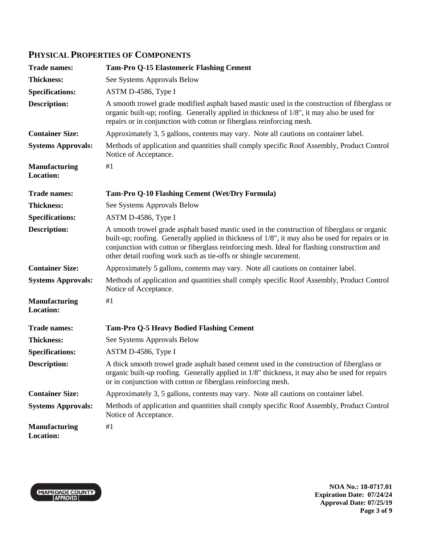## **PHYSICAL PROPERTIES OF COMPONENTS**

| <b>Trade names:</b>                      | <b>Tam-Pro Q-15 Elastomeric Flashing Cement</b>                                                                                                                                                                                                                                                                                                                      |
|------------------------------------------|----------------------------------------------------------------------------------------------------------------------------------------------------------------------------------------------------------------------------------------------------------------------------------------------------------------------------------------------------------------------|
| <b>Thickness:</b>                        | See Systems Approvals Below                                                                                                                                                                                                                                                                                                                                          |
| <b>Specifications:</b>                   | ASTM D-4586, Type I                                                                                                                                                                                                                                                                                                                                                  |
| <b>Description:</b>                      | A smooth trowel grade modified asphalt based mastic used in the construction of fiberglass or<br>organic built-up; roofing. Generally applied in thickness of $1/8$ ", it may also be used for<br>repairs or in conjunction with cotton or fiberglass reinforcing mesh.                                                                                              |
| <b>Container Size:</b>                   | Approximately 3, 5 gallons, contents may vary. Note all cautions on container label.                                                                                                                                                                                                                                                                                 |
| <b>Systems Approvals:</b>                | Methods of application and quantities shall comply specific Roof Assembly, Product Control<br>Notice of Acceptance.                                                                                                                                                                                                                                                  |
| <b>Manufacturing</b><br><b>Location:</b> | #1                                                                                                                                                                                                                                                                                                                                                                   |
| <b>Trade names:</b>                      | Tam-Pro Q-10 Flashing Cement (Wet/Dry Formula)                                                                                                                                                                                                                                                                                                                       |
| <b>Thickness:</b>                        | See Systems Approvals Below                                                                                                                                                                                                                                                                                                                                          |
| <b>Specifications:</b>                   | ASTM D-4586, Type I                                                                                                                                                                                                                                                                                                                                                  |
| <b>Description:</b>                      | A smooth trowel grade asphalt based mastic used in the construction of fiberglass or organic<br>built-up; roofing. Generally applied in thickness of 1/8", it may also be used for repairs or in<br>conjunction with cotton or fiberglass reinforcing mesh. Ideal for flashing construction and<br>other detail roofing work such as tie-offs or shingle securement. |
| <b>Container Size:</b>                   | Approximately 5 gallons, contents may vary. Note all cautions on container label.                                                                                                                                                                                                                                                                                    |
| <b>Systems Approvals:</b>                | Methods of application and quantities shall comply specific Roof Assembly, Product Control<br>Notice of Acceptance.                                                                                                                                                                                                                                                  |
| <b>Manufacturing</b><br><b>Location:</b> | #1                                                                                                                                                                                                                                                                                                                                                                   |
| <b>Trade names:</b>                      | <b>Tam-Pro Q-5 Heavy Bodied Flashing Cement</b>                                                                                                                                                                                                                                                                                                                      |
| <b>Thickness:</b>                        | See Systems Approvals Below                                                                                                                                                                                                                                                                                                                                          |
| <b>Specifications:</b>                   | ASTM D-4586, Type I                                                                                                                                                                                                                                                                                                                                                  |
| <b>Description:</b>                      | A thick smooth trowel grade asphalt based cement used in the construction of fiberglass or<br>organic built-up roofing. Generally applied in 1/8" thickness, it may also be used for repairs<br>or in conjunction with cotton or fiberglass reinforcing mesh.                                                                                                        |
| <b>Container Size:</b>                   | Approximately 3, 5 gallons, contents may vary. Note all cautions on container label.                                                                                                                                                                                                                                                                                 |
| <b>Systems Approvals:</b>                | Methods of application and quantities shall comply specific Roof Assembly, Product Control<br>Notice of Acceptance.                                                                                                                                                                                                                                                  |
| <b>Manufacturing</b><br><b>Location:</b> | #1                                                                                                                                                                                                                                                                                                                                                                   |



**NOA No.: 18-0717.01 Expiration Date: 07/24/24 Approval Date: 07/25/19 Page 3 of 9**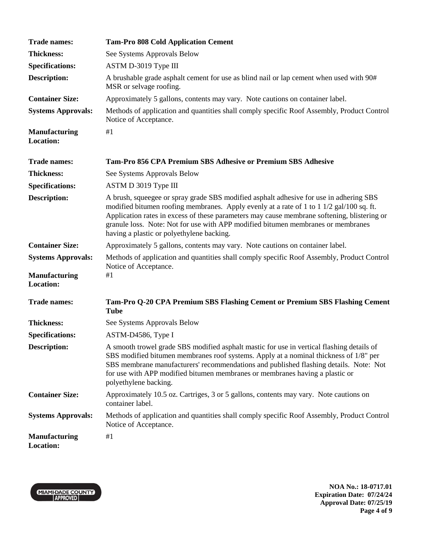| <b>Trade names:</b>                      | <b>Tam-Pro 808 Cold Application Cement</b>                                                                                                                                                                                                                                                                                                                                                                         |
|------------------------------------------|--------------------------------------------------------------------------------------------------------------------------------------------------------------------------------------------------------------------------------------------------------------------------------------------------------------------------------------------------------------------------------------------------------------------|
| <b>Thickness:</b>                        | See Systems Approvals Below                                                                                                                                                                                                                                                                                                                                                                                        |
| <b>Specifications:</b>                   | ASTM D-3019 Type III                                                                                                                                                                                                                                                                                                                                                                                               |
| <b>Description:</b>                      | A brushable grade asphalt cement for use as blind nail or lap cement when used with 90#<br>MSR or selvage roofing.                                                                                                                                                                                                                                                                                                 |
| <b>Container Size:</b>                   | Approximately 5 gallons, contents may vary. Note cautions on container label.                                                                                                                                                                                                                                                                                                                                      |
| <b>Systems Approvals:</b>                | Methods of application and quantities shall comply specific Roof Assembly, Product Control<br>Notice of Acceptance.                                                                                                                                                                                                                                                                                                |
| <b>Manufacturing</b><br><b>Location:</b> | #1                                                                                                                                                                                                                                                                                                                                                                                                                 |
| <b>Trade names:</b>                      | <b>Tam-Pro 856 CPA Premium SBS Adhesive or Premium SBS Adhesive</b>                                                                                                                                                                                                                                                                                                                                                |
| <b>Thickness:</b>                        | See Systems Approvals Below                                                                                                                                                                                                                                                                                                                                                                                        |
| <b>Specifications:</b>                   | ASTM D 3019 Type III                                                                                                                                                                                                                                                                                                                                                                                               |
| <b>Description:</b>                      | A brush, squeegee or spray grade SBS modified asphalt adhesive for use in adhering SBS<br>modified bitumen roofing membranes. Apply evenly at a rate of 1 to 1 1/2 gal/100 sq. ft.<br>Application rates in excess of these parameters may cause membrane softening, blistering or<br>granule loss. Note: Not for use with APP modified bitumen membranes or membranes<br>having a plastic or polyethylene backing. |
| <b>Container Size:</b>                   | Approximately 5 gallons, contents may vary. Note cautions on container label.                                                                                                                                                                                                                                                                                                                                      |
| <b>Systems Approvals:</b>                | Methods of application and quantities shall comply specific Roof Assembly, Product Control<br>Notice of Acceptance.                                                                                                                                                                                                                                                                                                |
| <b>Manufacturing</b><br><b>Location:</b> | #1                                                                                                                                                                                                                                                                                                                                                                                                                 |
| <b>Trade names:</b>                      | Tam-Pro Q-20 CPA Premium SBS Flashing Cement or Premium SBS Flashing Cement<br><b>Tube</b>                                                                                                                                                                                                                                                                                                                         |
| <b>Thickness:</b>                        | See Systems Approvals Below                                                                                                                                                                                                                                                                                                                                                                                        |
| <b>Specifications:</b>                   | ASTM-D4586, Type I                                                                                                                                                                                                                                                                                                                                                                                                 |
| Description:                             | A smooth trowel grade SBS modified asphalt mastic for use in vertical flashing details of<br>SBS modified bitumen membranes roof systems. Apply at a nominal thickness of 1/8" per<br>SBS membrane manufacturers' recommendations and published flashing details. Note: Not<br>for use with APP modified bitumen membranes or membranes having a plastic or<br>polyethylene backing.                               |
| <b>Container Size:</b>                   | Approximately 10.5 oz. Cartriges, 3 or 5 gallons, contents may vary. Note cautions on<br>container label.                                                                                                                                                                                                                                                                                                          |
| <b>Systems Approvals:</b>                | Methods of application and quantities shall comply specific Roof Assembly, Product Control<br>Notice of Acceptance.                                                                                                                                                                                                                                                                                                |
| <b>Manufacturing</b><br><b>Location:</b> | #1                                                                                                                                                                                                                                                                                                                                                                                                                 |



**NOA No.: 18-0717.01 Expiration Date: 07/24/24 Approval Date: 07/25/19 Page 4 of 9**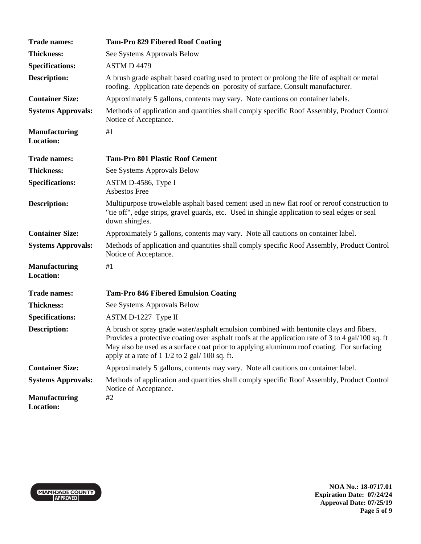| <b>Trade names:</b>                      | <b>Tam-Pro 829 Fibered Roof Coating</b>                                                                                                                                                                                                                                                                                                                        |
|------------------------------------------|----------------------------------------------------------------------------------------------------------------------------------------------------------------------------------------------------------------------------------------------------------------------------------------------------------------------------------------------------------------|
| <b>Thickness:</b>                        | See Systems Approvals Below                                                                                                                                                                                                                                                                                                                                    |
| <b>Specifications:</b>                   | ASTM D 4479                                                                                                                                                                                                                                                                                                                                                    |
| <b>Description:</b>                      | A brush grade asphalt based coating used to protect or prolong the life of asphalt or metal<br>roofing. Application rate depends on porosity of surface. Consult manufacturer.                                                                                                                                                                                 |
| <b>Container Size:</b>                   | Approximately 5 gallons, contents may vary. Note cautions on container labels.                                                                                                                                                                                                                                                                                 |
| <b>Systems Approvals:</b>                | Methods of application and quantities shall comply specific Roof Assembly, Product Control<br>Notice of Acceptance.                                                                                                                                                                                                                                            |
| <b>Manufacturing</b><br><b>Location:</b> | #1                                                                                                                                                                                                                                                                                                                                                             |
| <b>Trade names:</b>                      | <b>Tam-Pro 801 Plastic Roof Cement</b>                                                                                                                                                                                                                                                                                                                         |
| <b>Thickness:</b>                        | See Systems Approvals Below                                                                                                                                                                                                                                                                                                                                    |
| <b>Specifications:</b>                   | ASTM D-4586, Type I<br>Asbestos Free                                                                                                                                                                                                                                                                                                                           |
| <b>Description:</b>                      | Multipurpose trowelable asphalt based cement used in new flat roof or reroof construction to<br>"tie off", edge strips, gravel guards, etc. Used in shingle application to seal edges or seal<br>down shingles.                                                                                                                                                |
| <b>Container Size:</b>                   | Approximately 5 gallons, contents may vary. Note all cautions on container label.                                                                                                                                                                                                                                                                              |
| <b>Systems Approvals:</b>                | Methods of application and quantities shall comply specific Roof Assembly, Product Control<br>Notice of Acceptance.                                                                                                                                                                                                                                            |
| <b>Manufacturing</b><br><b>Location:</b> | #1                                                                                                                                                                                                                                                                                                                                                             |
| <b>Trade names:</b>                      | <b>Tam-Pro 846 Fibered Emulsion Coating</b>                                                                                                                                                                                                                                                                                                                    |
| <b>Thickness:</b>                        | See Systems Approvals Below                                                                                                                                                                                                                                                                                                                                    |
| <b>Specifications:</b>                   | ASTM D-1227 Type II                                                                                                                                                                                                                                                                                                                                            |
| <b>Description:</b>                      | A brush or spray grade water/asphalt emulsion combined with bentonite clays and fibers.<br>Provides a protective coating over asphalt roofs at the application rate of 3 to 4 gal/100 sq. ft<br>May also be used as a surface coat prior to applying aluminum roof coating. For surfacing<br>apply at a rate of $1 \frac{1}{2}$ to $2 \frac{gal}{100}$ sq. ft. |
| <b>Container Size:</b>                   | Approximately 5 gallons, contents may vary. Note all cautions on container label.                                                                                                                                                                                                                                                                              |
| <b>Systems Approvals:</b>                | Methods of application and quantities shall comply specific Roof Assembly, Product Control<br>Notice of Acceptance.                                                                                                                                                                                                                                            |
| <b>Manufacturing</b><br><b>Location:</b> | #2                                                                                                                                                                                                                                                                                                                                                             |



**NOA No.: 18-0717.01 Expiration Date: 07/24/24 Approval Date: 07/25/19 Page 5 of 9**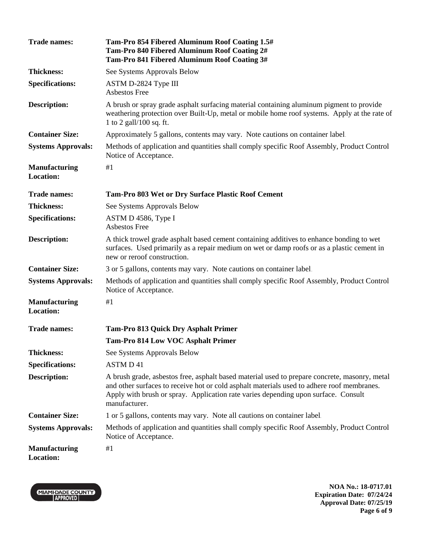| <b>Trade names:</b>                      | Tam-Pro 854 Fibered Aluminum Roof Coating 1.5#<br>Tam-Pro 840 Fibered Aluminum Roof Coating 2#<br>Tam-Pro 841 Fibered Aluminum Roof Coating 3#                                                                                                                                                     |
|------------------------------------------|----------------------------------------------------------------------------------------------------------------------------------------------------------------------------------------------------------------------------------------------------------------------------------------------------|
| <b>Thickness:</b>                        | See Systems Approvals Below                                                                                                                                                                                                                                                                        |
| <b>Specifications:</b>                   | ASTM D-2824 Type III<br>Asbestos Free                                                                                                                                                                                                                                                              |
| <b>Description:</b>                      | A brush or spray grade asphalt surfacing material containing aluminum pigment to provide<br>weathering protection over Built-Up, metal or mobile home roof systems. Apply at the rate of<br>1 to 2 gall/100 sq. ft.                                                                                |
| <b>Container Size:</b>                   | Approximately 5 gallons, contents may vary. Note cautions on container label.                                                                                                                                                                                                                      |
| <b>Systems Approvals:</b>                | Methods of application and quantities shall comply specific Roof Assembly, Product Control<br>Notice of Acceptance.                                                                                                                                                                                |
| <b>Manufacturing</b><br><b>Location:</b> | #1                                                                                                                                                                                                                                                                                                 |
| <b>Trade names:</b>                      | Tam-Pro 803 Wet or Dry Surface Plastic Roof Cement                                                                                                                                                                                                                                                 |
| <b>Thickness:</b>                        | See Systems Approvals Below                                                                                                                                                                                                                                                                        |
| <b>Specifications:</b>                   | ASTM D 4586, Type I<br><b>Asbestos Free</b>                                                                                                                                                                                                                                                        |
| Description:                             | A thick trowel grade asphalt based cement containing additives to enhance bonding to wet<br>surfaces. Used primarily as a repair medium on wet or damp roofs or as a plastic cement in<br>new or reroof construction.                                                                              |
| <b>Container Size:</b>                   | 3 or 5 gallons, contents may vary. Note cautions on container label.                                                                                                                                                                                                                               |
| <b>Systems Approvals:</b>                | Methods of application and quantities shall comply specific Roof Assembly, Product Control<br>Notice of Acceptance.                                                                                                                                                                                |
| <b>Manufacturing</b><br><b>Location:</b> | #1                                                                                                                                                                                                                                                                                                 |
| <b>Trade names:</b>                      | <b>Tam-Pro 813 Quick Dry Asphalt Primer</b>                                                                                                                                                                                                                                                        |
|                                          | <b>Tam-Pro 814 Low VOC Asphalt Primer</b>                                                                                                                                                                                                                                                          |
| <b>Thickness:</b>                        | See Systems Approvals Below                                                                                                                                                                                                                                                                        |
| <b>Specifications:</b>                   | <b>ASTMD41</b>                                                                                                                                                                                                                                                                                     |
| Description:                             | A brush grade, asbestos free, asphalt based material used to prepare concrete, masonry, metal<br>and other surfaces to receive hot or cold asphalt materials used to adhere roof membranes.<br>Apply with brush or spray. Application rate varies depending upon surface. Consult<br>manufacturer. |
| <b>Container Size:</b>                   | 1 or 5 gallons, contents may vary. Note all cautions on container label.                                                                                                                                                                                                                           |
| <b>Systems Approvals:</b>                | Methods of application and quantities shall comply specific Roof Assembly, Product Control<br>Notice of Acceptance.                                                                                                                                                                                |
| <b>Manufacturing</b><br><b>Location:</b> | #1                                                                                                                                                                                                                                                                                                 |



**NOA No.: 18-0717.01 Expiration Date: 07/24/24 Approval Date: 07/25/19 Page 6 of 9**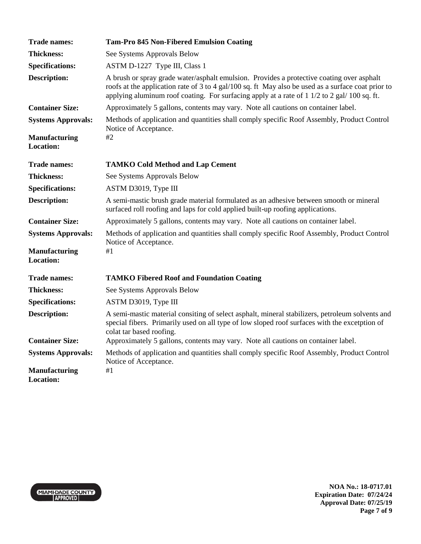| <b>Trade names:</b>                      | <b>Tam-Pro 845 Non-Fibered Emulsion Coating</b>                                                                                                                                                                                                                                                 |
|------------------------------------------|-------------------------------------------------------------------------------------------------------------------------------------------------------------------------------------------------------------------------------------------------------------------------------------------------|
| <b>Thickness:</b>                        | See Systems Approvals Below                                                                                                                                                                                                                                                                     |
| <b>Specifications:</b>                   | ASTM D-1227 Type III, Class 1                                                                                                                                                                                                                                                                   |
| <b>Description:</b>                      | A brush or spray grade water/asphalt emulsion. Provides a protective coating over asphalt<br>roofs at the application rate of 3 to 4 gal/100 sq. ft May also be used as a surface coat prior to<br>applying aluminum roof coating. For surfacing apply at a rate of 1 1/2 to 2 gal/ 100 sq. ft. |
| <b>Container Size:</b>                   | Approximately 5 gallons, contents may vary. Note all cautions on container label.                                                                                                                                                                                                               |
| <b>Systems Approvals:</b>                | Methods of application and quantities shall comply specific Roof Assembly, Product Control<br>Notice of Acceptance.                                                                                                                                                                             |
| <b>Manufacturing</b><br><b>Location:</b> | #2                                                                                                                                                                                                                                                                                              |
| <b>Trade names:</b>                      | <b>TAMKO Cold Method and Lap Cement</b>                                                                                                                                                                                                                                                         |
| <b>Thickness:</b>                        | See Systems Approvals Below                                                                                                                                                                                                                                                                     |
| <b>Specifications:</b>                   | ASTM D3019, Type III                                                                                                                                                                                                                                                                            |
| <b>Description:</b>                      | A semi-mastic brush grade material formulated as an adhesive between smooth or mineral<br>surfaced roll roofing and laps for cold applied built-up roofing applications.                                                                                                                        |
| <b>Container Size:</b>                   | Approximately 5 gallons, contents may vary. Note all cautions on container label.                                                                                                                                                                                                               |
| <b>Systems Approvals:</b>                | Methods of application and quantities shall comply specific Roof Assembly, Product Control<br>Notice of Acceptance.                                                                                                                                                                             |
| <b>Manufacturing</b><br><b>Location:</b> | #1                                                                                                                                                                                                                                                                                              |
| <b>Trade names:</b>                      | <b>TAMKO Fibered Roof and Foundation Coating</b>                                                                                                                                                                                                                                                |
| <b>Thickness:</b>                        | See Systems Approvals Below                                                                                                                                                                                                                                                                     |
| <b>Specifications:</b>                   | ASTM D3019, Type III                                                                                                                                                                                                                                                                            |
| <b>Description:</b>                      | A semi-mastic material consiting of select asphalt, mineral stabilizers, petroleum solvents and<br>special fibers. Primarily used on all type of low sloped roof surfaces with the excetption of<br>colat tar based roofing.                                                                    |
| <b>Container Size:</b>                   | Approximately 5 gallons, contents may vary. Note all cautions on container label.                                                                                                                                                                                                               |
| <b>Systems Approvals:</b>                | Methods of application and quantities shall comply specific Roof Assembly, Product Control<br>Notice of Acceptance.                                                                                                                                                                             |
| <b>Manufacturing</b><br><b>Location:</b> | #1                                                                                                                                                                                                                                                                                              |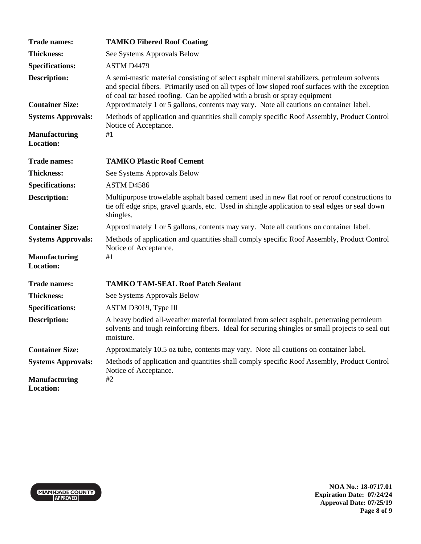| <b>Trade names:</b>                      | <b>TAMKO Fibered Roof Coating</b>                                                                                                                                                                                                                                          |
|------------------------------------------|----------------------------------------------------------------------------------------------------------------------------------------------------------------------------------------------------------------------------------------------------------------------------|
| <b>Thickness:</b>                        | See Systems Approvals Below                                                                                                                                                                                                                                                |
| <b>Specifications:</b>                   | ASTM D4479                                                                                                                                                                                                                                                                 |
| <b>Description:</b>                      | A semi-mastic material consisting of select asphalt mineral stabilizers, petroleum solvents<br>and special fibers. Primarily used on all types of low sloped roof surfaces with the exception<br>of coal tar based roofing. Can be applied with a brush or spray equipment |
| <b>Container Size:</b>                   | Approximately 1 or 5 gallons, contents may vary. Note all cautions on container label.                                                                                                                                                                                     |
| <b>Systems Approvals:</b>                | Methods of application and quantities shall comply specific Roof Assembly, Product Control<br>Notice of Acceptance.                                                                                                                                                        |
| <b>Manufacturing</b><br><b>Location:</b> | #1                                                                                                                                                                                                                                                                         |
| <b>Trade names:</b>                      | <b>TAMKO Plastic Roof Cement</b>                                                                                                                                                                                                                                           |
| <b>Thickness:</b>                        | See Systems Approvals Below                                                                                                                                                                                                                                                |
| <b>Specifications:</b>                   | ASTM D4586                                                                                                                                                                                                                                                                 |
| <b>Description:</b>                      | Multipurpose trowelable asphalt based cement used in new flat roof or reroof constructions to<br>tie off edge srips, gravel guards, etc. Used in shingle application to seal edges or seal down<br>shingles.                                                               |
| <b>Container Size:</b>                   | Approximately 1 or 5 gallons, contents may vary. Note all cautions on container label.                                                                                                                                                                                     |
| <b>Systems Approvals:</b>                | Methods of application and quantities shall comply specific Roof Assembly, Product Control<br>Notice of Acceptance.                                                                                                                                                        |
| <b>Manufacturing</b><br><b>Location:</b> | #1                                                                                                                                                                                                                                                                         |
| <b>Trade names:</b>                      | <b>TAMKO TAM-SEAL Roof Patch Sealant</b>                                                                                                                                                                                                                                   |
| <b>Thickness:</b>                        | See Systems Approvals Below                                                                                                                                                                                                                                                |
| <b>Specifications:</b>                   | ASTM D3019, Type III                                                                                                                                                                                                                                                       |
| <b>Description:</b>                      | A heavy bodied all-weather material formulated from select asphalt, penetrating petroleum<br>solvents and tough reinforcing fibers. Ideal for securing shingles or small projects to seal out<br>moisture.                                                                 |
| <b>Container Size:</b>                   | Approximately 10.5 oz tube, contents may vary. Note all cautions on container label.                                                                                                                                                                                       |
| <b>Systems Approvals:</b>                | Methods of application and quantities shall comply specific Roof Assembly, Product Control<br>Notice of Acceptance.                                                                                                                                                        |
| <b>Manufacturing</b><br><b>Location:</b> | #2                                                                                                                                                                                                                                                                         |



**NOA No.: 18-0717.01 Expiration Date: 07/24/24 Approval Date: 07/25/19 Page 8 of 9**